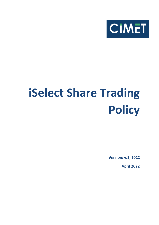

# **iSelect Share Trading Policy**

**Version: v.1, 2022**

**April 2022**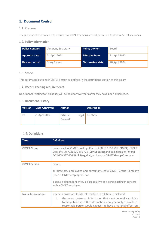## **1. Document Control**

## 1.1. Purpose

The purpose of this policy is to ensure that CIMET Persons are not permitted to deal in iSelect securities.

## 1.2. Policy Information

| Policy Contact:       | <b>Company Secretary</b> | <b>Policy Owner:</b>     | Board         |
|-----------------------|--------------------------|--------------------------|---------------|
| <b>Approval date:</b> | 21 April 2022            | <b>Effective Date:</b>   | 21 April 2022 |
| <b>Review period:</b> | Every 2 years            | <b>Next review date:</b> | 20 April 2024 |

## 1.3. Scope

This policy applies to each CIMET Person as defined in the definitions section of this policy.

## 1.4. Record keeping requirements

Documents relating to this policy will be held for five years after they have been superseded.

#### 1.5. Document History

| <b>Version</b> | <b>Date Approved</b> | <b>Author</b>                | <b>Description</b> |
|----------------|----------------------|------------------------------|--------------------|
| v.1            | 21 April 2022        | External<br>∟egal<br>Counsel | Creation           |

## 1.6. Definitions

| <b>Term</b>               | <b>Definition</b>                                                                                                                                                                                                                                                                           |
|---------------------------|---------------------------------------------------------------------------------------------------------------------------------------------------------------------------------------------------------------------------------------------------------------------------------------------|
| <b>CIMET Group</b>        | means each of CIMET Holdings Pty Ltd ACN 639 859 797 (CIMET), CIMET<br>Sales Pty Ltd ACN 620 395 726 (CIMET Sales) and Bulk Bargains Pty Ltd<br>ACN 609 377 406 (Bulk Bargains), and each a CIMET Group Company.                                                                            |
| <b>CIMET Person</b>       | means:<br>all directors, employees and consultants of a CIMET Group Company<br>(each a CIMET employee); and<br>a spouse, dependent child, a close relative or a person acting in concert<br>with a CIMET employee.                                                                          |
| <b>Inside Information</b> | a person possesses Inside Information in relation to iSelect if:<br>the person possesses information that is not generally available<br>$\mathsf{L}$<br>to the public and, if the information were generally available, a<br>reasonable person would expect it to have a material effect on |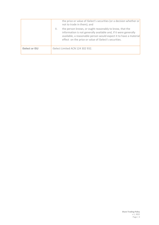|                       | the price or value of iSelect's securities (or a decision whether or<br>not to trade in them); and<br>the person knows, or ought reasonably to know, that the<br>Ш.<br>information is not generally available and, if it were generally<br>available, a reasonable person would expect it to have a material |
|-----------------------|--------------------------------------------------------------------------------------------------------------------------------------------------------------------------------------------------------------------------------------------------------------------------------------------------------------|
| <b>iSelect or ISU</b> | effect on the price or value of iSelect's securities.<br>iSelect Limited ACN 124 302 932.                                                                                                                                                                                                                    |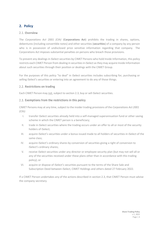## **2. Policy**

## 2.1. Overview

The *Corporations Act 2001 (Cth)* (**Corporations Act**) prohibits the trading in shares, options, debentures (including convertible notes) and other securities (**securities**) of a company by any person who is in possession of undisclosed price sensitive information regarding that company. The Corporations Act imposes substantial penalties on persons who breach those provisions.

To prevent any dealings in iSelect securities by CIMET Persons who hold Inside Information, this policy restricts each CIMET Person from dealing in securities in iSelect as they may acquire Inside Information about such securities through their position or dealings with the CIMET Group.

For the purposes of this policy "to deal" in iSelect securities includes subscribing for, purchasing or selling iSelect's securities or entering into an agreement to do any of those things.

## 2.2. Restrictions on trading

Each CIMET Person may not, subject to section 2.3, buy or sell iSelect securities.

## 2.3. Exemptions from the restrictions in this policy

CIMET Persons may at any time, subject to the insider trading provisions of the *Corporations Act 2001 (Cth)*:

- I. transfer iSelect securities already held into a self-managed superannuation fund or other saving scheme in which the CIMET person is a beneficiary;
- II. trade in iSelect securities where the trading occurs under an offer to all or most of the security holders of iSelect;
- III. acquire iSelect's securities under a bonus issued made to all holders of securities in iSelect of the same class;
- IV. acquire iSelect's ordinary shares by conversion of securities giving a right of conversion to iSelect's ordinary shares;
- V. receive iSelect securities under any director or employee security plan (but may not sell all or any of the securities received under these plans other than in accordance with this trading policy); or
- VI. acquire or dispose of iSelect's securities pursuant to the terms of the Share Sale and Subscription Deed between iSelect, CIMET Holdings and others dated 27 February 2022.

If a CIMET Person undertakes any of the actions described in section 2.3, that CIMET Person must advise the company secretary.